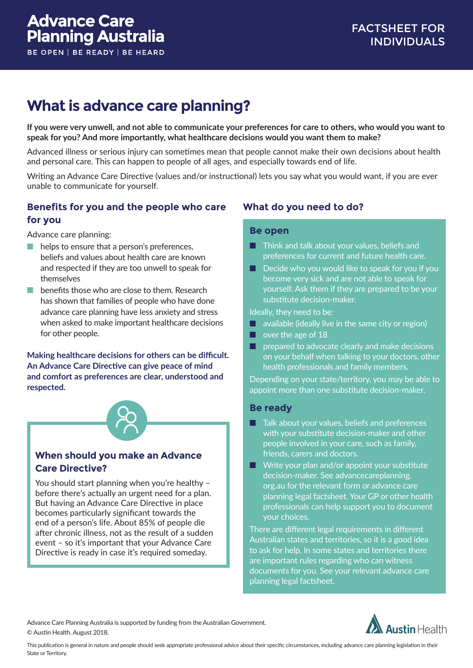# **What is advance care planning?**

**If you were very unwell, and not able to communicate your preferences for care to others, who would you want to speak for you? And more importantly, what healthcare decisions would you want them to make?**

Advanced illness or serious injury can sometimes mean that people cannot make their own decisions about health and personal care. This can happen to people of all ages, and especially towards end of life.

Writing an Advance Care Directive (values and/or instructional) lets you say what you would want, if you are ever unable to communicate for yourself.

### **Benefits for you and the people who care for you**

Advance care planning:

- $\blacksquare$  helps to ensure that a person's preferences. beliefs and values about health care are known and respected if they are too unwell to speak for themselves
- n benefits those who are close to them. Research has shown that families of people who have done advance care planning have less anxiety and stress when asked to make important healthcare decisions for other people.

**Making healthcare decisions for others can be difficult. An Advance Care Directive can give peace of mind and comfort as preferences are clear, understood and respected.**



# **When should you make an Advance Care Directive?**

You should start planning when you're healthy – before there's actually an urgent need for a plan. But having an Advance Care Directive in place becomes particularly significant towards the end of a person's life. About 85% of people die after chronic illness, not as the result of a sudden event – so it's important that your Advance Care Directive is ready in case it's required someday.

# **What do you need to do?**

#### **Be open**

- **n** Think and talk about your values, beliefs and preferences for current and future health care.
- $\Box$  Decide who you would like to speak for you if you become very sick and are not able to speak for yourself. Ask them if they are prepared to be your substitute decision-maker.

Ideally, they need to be:

- $\blacksquare$  available (ideally live in the same city or region)
- $\Box$  over the age of 18
- $\blacksquare$  prepared to advocate clearly and make decisions on your behalf when talking to your doctors, other health professionals and family members.

Depending on your state/territory, you may be able to appoint more than one substitute decision-maker.

#### **Be ready**

- $\blacksquare$  Talk about your values, beliefs and preferences with your substitute decision-maker and other people involved in your care, such as family, friends, carers and doctors.
- $\blacksquare$  Write your plan and/or appoint your substitute decision-maker. See advancecareplanning. org.au for the relevant form or advance care planning legal factsheet. Your GP or other health professionals can help support you to document your choices.

There are different legal requirements in different Australian states and territories, so it is a good idea to ask for help. In some states and territories there are important rules regarding who can witness documents for you. See your relevant advance care planning legal factsheet.

Advance Care Planning Australia is supported by funding from the Australian Government. © Austin Health. August 2018.



This publication is general in nature and people should seek appropriate professional advice about their specific circumstances, including advance care planning legislation in their State or Territory.